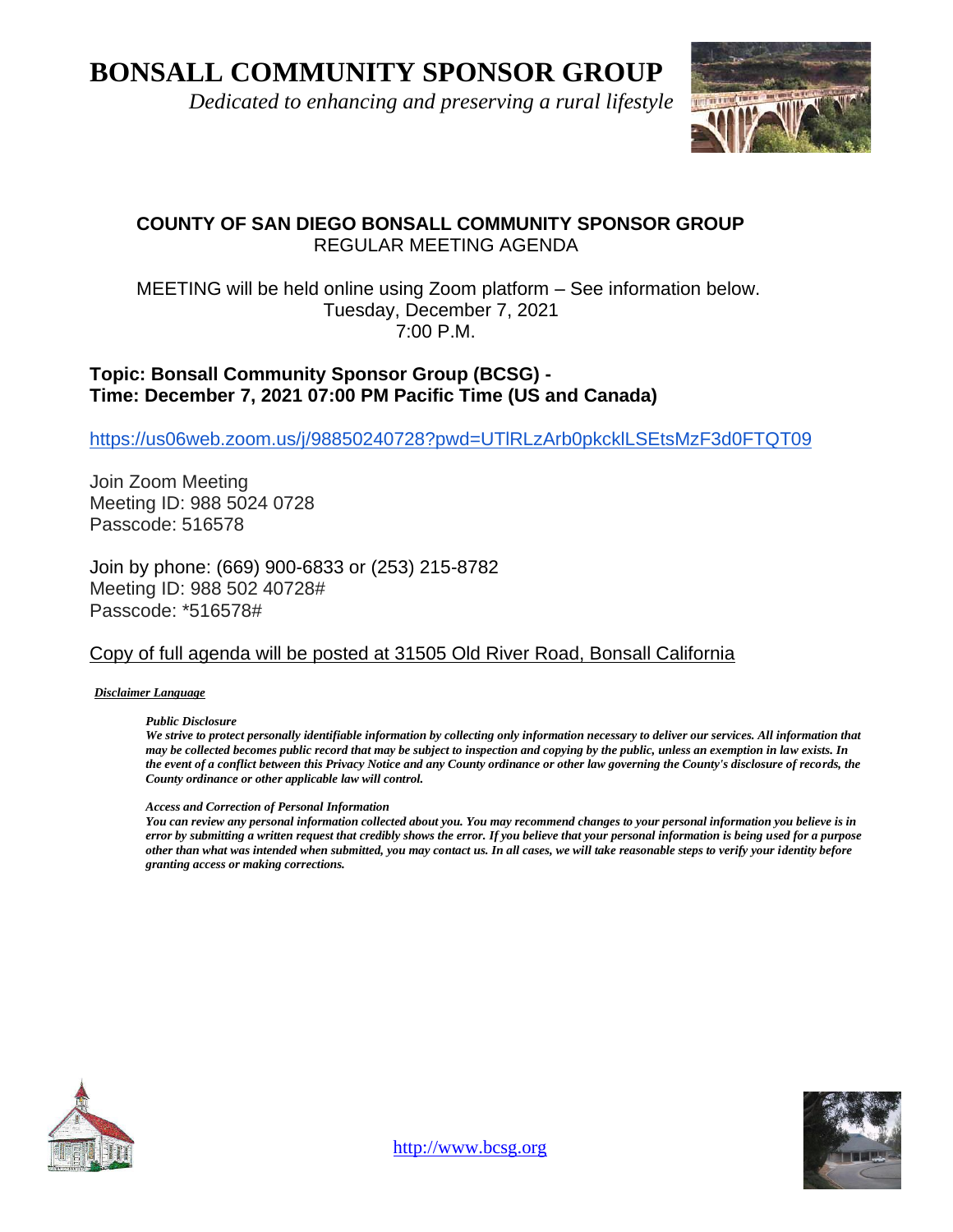**BONSALL COMMUNITY SPONSOR GROUP**

 *Dedicated to enhancing and preserving a rural lifestyle*



## **COUNTY OF SAN DIEGO BONSALL COMMUNITY SPONSOR GROUP** REGULAR MEETING AGENDA

#### MEETING will be held online using Zoom platform – See information below. Tuesday, December 7, 2021 7:00 P.M.

### **Topic: Bonsall Community Sponsor Group (BCSG) - Time: December 7, 2021 07:00 PM Pacific Time (US and Canada)**

<https://us06web.zoom.us/j/98850240728?pwd=UTlRLzArb0pkcklLSEtsMzF3d0FTQT09>

Join Zoom Meeting Meeting ID: 988 5024 0728 Passcode: 516578

Join by phone: (669) 900-6833 or (253) 215-8782 Meeting ID: 988 502 40728# Passcode: \*516578#

### Copy of full agenda will be posted at 31505 Old River Road, Bonsall California

*Disclaimer Language*

*Public Disclosure* 

*We strive to protect personally identifiable information by collecting only information necessary to deliver our services. All information that may be collected becomes public record that may be subject to inspection and copying by the public, unless an exemption in law exists. In the event of a conflict between this Privacy Notice and any County ordinance or other law governing the County's disclosure of records, the County ordinance or other applicable law will control.*

#### *Access and Correction of Personal Information*

*You can review any personal information collected about you. You may recommend changes to your personal information you believe is in error by submitting a written request that credibly shows the error. If you believe that your personal information is being used for a purpose other than what was intended when submitted, you may contact us. In all cases, we will take reasonable steps to verify your identity before granting access or making corrections.*